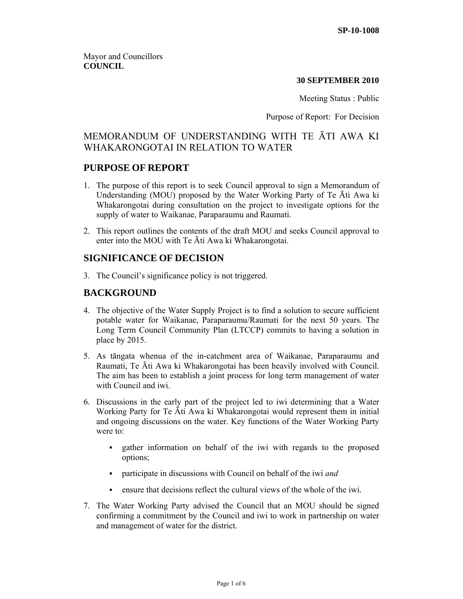Mayor and Councillors **COUNCIL** 

#### **30 SEPTEMBER 2010**

Meeting Status : Public

Purpose of Report: For Decision

# MEMORANDUM OF UNDERSTANDING WITH TE ĀTI AWA KI WHAKARONGOTAI IN RELATION TO WATER

## **PURPOSE OF REPORT**

- 1. The purpose of this report is to seek Council approval to sign a Memorandum of Understanding (MOU) proposed by the Water Working Party of Te Āti Awa ki Whakarongotai during consultation on the project to investigate options for the supply of water to Waikanae, Paraparaumu and Raumati.
- 2. This report outlines the contents of the draft MOU and seeks Council approval to enter into the MOU with Te Āti Awa ki Whakarongotai.

## **SIGNIFICANCE OF DECISION**

3. The Council's significance policy is not triggered.

## **BACKGROUND**

- 4. The objective of the Water Supply Project is to find a solution to secure sufficient potable water for Waikanae, Paraparaumu/Raumati for the next 50 years. The Long Term Council Community Plan (LTCCP) commits to having a solution in place by 2015.
- 5. As tāngata whenua of the in-catchment area of Waikanae, Paraparaumu and Raumati, Te Āti Awa ki Whakarongotai has been heavily involved with Council. The aim has been to establish a joint process for long term management of water with Council and iwi.
- 6. Discussions in the early part of the project led to iwi determining that a Water Working Party for Te Āti Awa ki Whakarongotai would represent them in initial and ongoing discussions on the water. Key functions of the Water Working Party were to:
	- gather information on behalf of the iwi with regards to the proposed options;
	- participate in discussions with Council on behalf of the iwi *and*
	- ensure that decisions reflect the cultural views of the whole of the iwi.
- 7. The Water Working Party advised the Council that an MOU should be signed confirming a commitment by the Council and iwi to work in partnership on water and management of water for the district.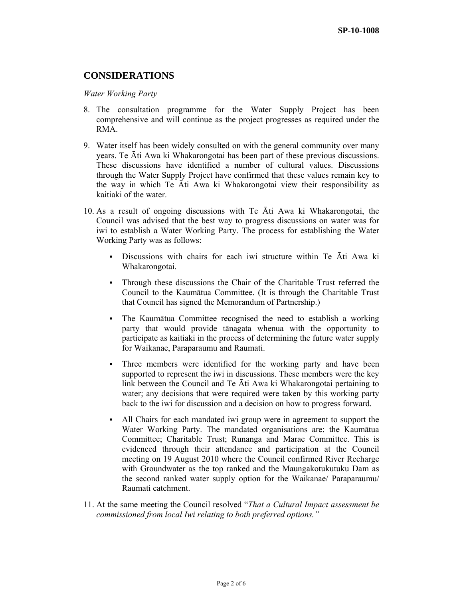## **CONSIDERATIONS**

#### *Water Working Party*

- 8. The consultation programme for the Water Supply Project has been comprehensive and will continue as the project progresses as required under the RMA.
- 9. Water itself has been widely consulted on with the general community over many years. Te Āti Awa ki Whakarongotai has been part of these previous discussions. These discussions have identified a number of cultural values. Discussions through the Water Supply Project have confirmed that these values remain key to the way in which Te Āti Awa ki Whakarongotai view their responsibility as kaitiaki of the water.
- 10. As a result of ongoing discussions with Te Āti Awa ki Whakarongotai, the Council was advised that the best way to progress discussions on water was for iwi to establish a Water Working Party. The process for establishing the Water Working Party was as follows:
	- Discussions with chairs for each iwi structure within Te Āti Awa ki Whakarongotai.
	- Through these discussions the Chair of the Charitable Trust referred the Council to the Kaumātua Committee. (It is through the Charitable Trust that Council has signed the Memorandum of Partnership.)
	- The Kaumātua Committee recognised the need to establish a working party that would provide tānagata whenua with the opportunity to participate as kaitiaki in the process of determining the future water supply for Waikanae, Paraparaumu and Raumati.
	- Three members were identified for the working party and have been supported to represent the iwi in discussions. These members were the key link between the Council and Te Āti Awa ki Whakarongotai pertaining to water; any decisions that were required were taken by this working party back to the iwi for discussion and a decision on how to progress forward.
	- All Chairs for each mandated iwi group were in agreement to support the Water Working Party. The mandated organisations are: the Kaumātua Committee; Charitable Trust; Runanga and Marae Committee. This is evidenced through their attendance and participation at the Council meeting on 19 August 2010 where the Council confirmed River Recharge with Groundwater as the top ranked and the Maungakotukutuku Dam as the second ranked water supply option for the Waikanae/ Paraparaumu/ Raumati catchment.
- 11. At the same meeting the Council resolved "*That a Cultural Impact assessment be commissioned from local Iwi relating to both preferred options."*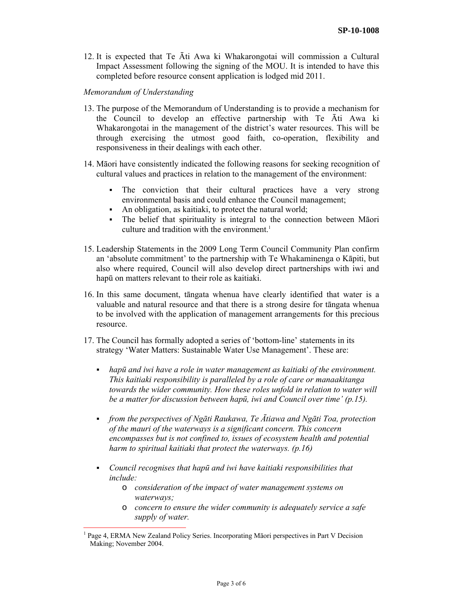12. It is expected that Te Āti Awa ki Whakarongotai will commission a Cultural Impact Assessment following the signing of the MOU. It is intended to have this completed before resource consent application is lodged mid 2011.

#### *Memorandum of Understanding*

 $\overline{a}$ 

- 13. The purpose of the Memorandum of Understanding is to provide a mechanism for the Council to develop an effective partnership with Te Āti Awa ki Whakarongotai in the management of the district's water resources. This will be through exercising the utmost good faith, co-operation, flexibility and responsiveness in their dealings with each other.
- 14. Māori have consistently indicated the following reasons for seeking recognition of cultural values and practices in relation to the management of the environment:
	- The conviction that their cultural practices have a very strong environmental basis and could enhance the Council management;
	- An obligation, as kaitiaki, to protect the natural world;
	- The belief that spirituality is integral to the connection between Māori culture and tradition with the environment.<sup>1</sup>
- 15. Leadership Statements in the 2009 Long Term Council Community Plan confirm an 'absolute commitment' to the partnership with Te Whakaminenga o Kāpiti, but also where required, Council will also develop direct partnerships with iwi and hapū on matters relevant to their role as kaitiaki.
- 16. In this same document, tāngata whenua have clearly identified that water is a valuable and natural resource and that there is a strong desire for tāngata whenua to be involved with the application of management arrangements for this precious resource.
- 17. The Council has formally adopted a series of 'bottom-line' statements in its strategy 'Water Matters: Sustainable Water Use Management'. These are:
	- *hapū and iwi have a role in water management as kaitiaki of the environment. This kaitiaki responsibility is paralleled by a role of care or manaakitanga towards the wider community. How these roles unfold in relation to water will be a matter for discussion between hapū, iwi and Council over time' (p.15).*
	- *from the perspectives of Ngāti Raukawa, Te Ātiawa and Ngāti Toa, protection of the mauri of the waterways is a significant concern. This concern encompasses but is not confined to, issues of ecosystem health and potential harm to spiritual kaitiaki that protect the waterways. (p.16)*
	- *Council recognises that hapū and iwi have kaitiaki responsibilities that include:* 
		- o *consideration of the impact of water management systems on waterways;*
		- o *concern to ensure the wider community is adequately service a safe supply of water.*

<sup>&</sup>lt;sup>1</sup> Page 4, ERMA New Zealand Policy Series. Incorporating Māori perspectives in Part V Decision Making; November 2004.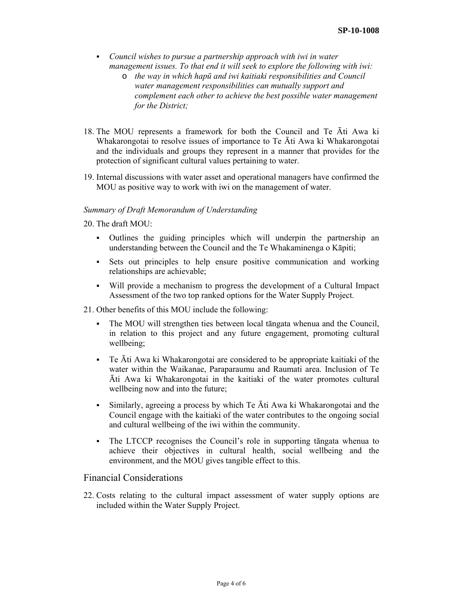- *Council wishes to pursue a partnership approach with iwi in water management issues. To that end it will seek to explore the following with iwi:* 
	- o *the way in which hapū and iwi kaitiaki responsibilities and Council water management responsibilities can mutually support and complement each other to achieve the best possible water management for the District;*
- 18. The MOU represents a framework for both the Council and Te Āti Awa ki Whakarongotai to resolve issues of importance to Te Āti Awa ki Whakarongotai and the individuals and groups they represent in a manner that provides for the protection of significant cultural values pertaining to water.
- 19. Internal discussions with water asset and operational managers have confirmed the MOU as positive way to work with iwi on the management of water.

### *Summary of Draft Memorandum of Understanding*

20. The draft MOU:

- Outlines the guiding principles which will underpin the partnership an understanding between the Council and the Te Whakaminenga o Kāpiti;
- Sets out principles to help ensure positive communication and working relationships are achievable;
- Will provide a mechanism to progress the development of a Cultural Impact Assessment of the two top ranked options for the Water Supply Project.
- 21. Other benefits of this MOU include the following:
	- The MOU will strengthen ties between local tāngata whenua and the Council, in relation to this project and any future engagement, promoting cultural wellbeing;
	- Te Āti Awa ki Whakarongotai are considered to be appropriate kaitiaki of the water within the Waikanae, Paraparaumu and Raumati area. Inclusion of Te Āti Awa ki Whakarongotai in the kaitiaki of the water promotes cultural wellbeing now and into the future;
	- Similarly, agreeing a process by which Te  $\bar{A}$ ti Awa ki Whakarongotai and the Council engage with the kaitiaki of the water contributes to the ongoing social and cultural wellbeing of the iwi within the community.
	- The LTCCP recognises the Council's role in supporting tāngata whenua to achieve their objectives in cultural health, social wellbeing and the environment, and the MOU gives tangible effect to this.

### Financial Considerations

22. Costs relating to the cultural impact assessment of water supply options are included within the Water Supply Project.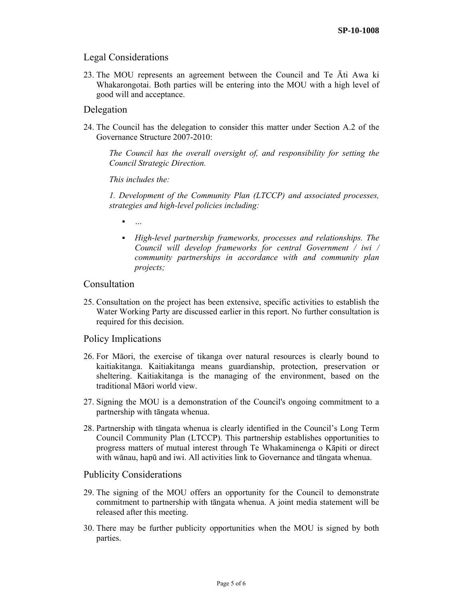## Legal Considerations

23. The MOU represents an agreement between the Council and Te Āti Awa ki Whakarongotai. Both parties will be entering into the MOU with a high level of good will and acceptance.

## Delegation

24. The Council has the delegation to consider this matter under Section A.2 of the Governance Structure 2007-2010:

*The Council has the overall oversight of, and responsibility for setting the Council Strategic Direction.* 

*This includes the:* 

*1. Development of the Community Plan (LTCCP) and associated processes, strategies and high-level policies including:* 

- *…*
- *High-level partnership frameworks, processes and relationships. The Council will develop frameworks for central Government / iwi / community partnerships in accordance with and community plan projects;*

### **Consultation**

25. Consultation on the project has been extensive, specific activities to establish the Water Working Party are discussed earlier in this report. No further consultation is required for this decision.

### Policy Implications

- 26. For Māori, the exercise of tikanga over natural resources is clearly bound to kaitiakitanga. Kaitiakitanga means guardianship, protection, preservation or sheltering. Kaitiakitanga is the managing of the environment, based on the traditional Māori world view.
- 27. Signing the MOU is a demonstration of the Council's ongoing commitment to a partnership with tāngata whenua.
- 28. Partnership with tāngata whenua is clearly identified in the Council's Long Term Council Community Plan (LTCCP). This partnership establishes opportunities to progress matters of mutual interest through Te Whakaminenga o Kāpiti or direct with wānau, hapū and iwi. All activities link to Governance and tāngata whenua.

#### Publicity Considerations

- 29. The signing of the MOU offers an opportunity for the Council to demonstrate commitment to partnership with tāngata whenua. A joint media statement will be released after this meeting.
- 30. There may be further publicity opportunities when the MOU is signed by both parties.